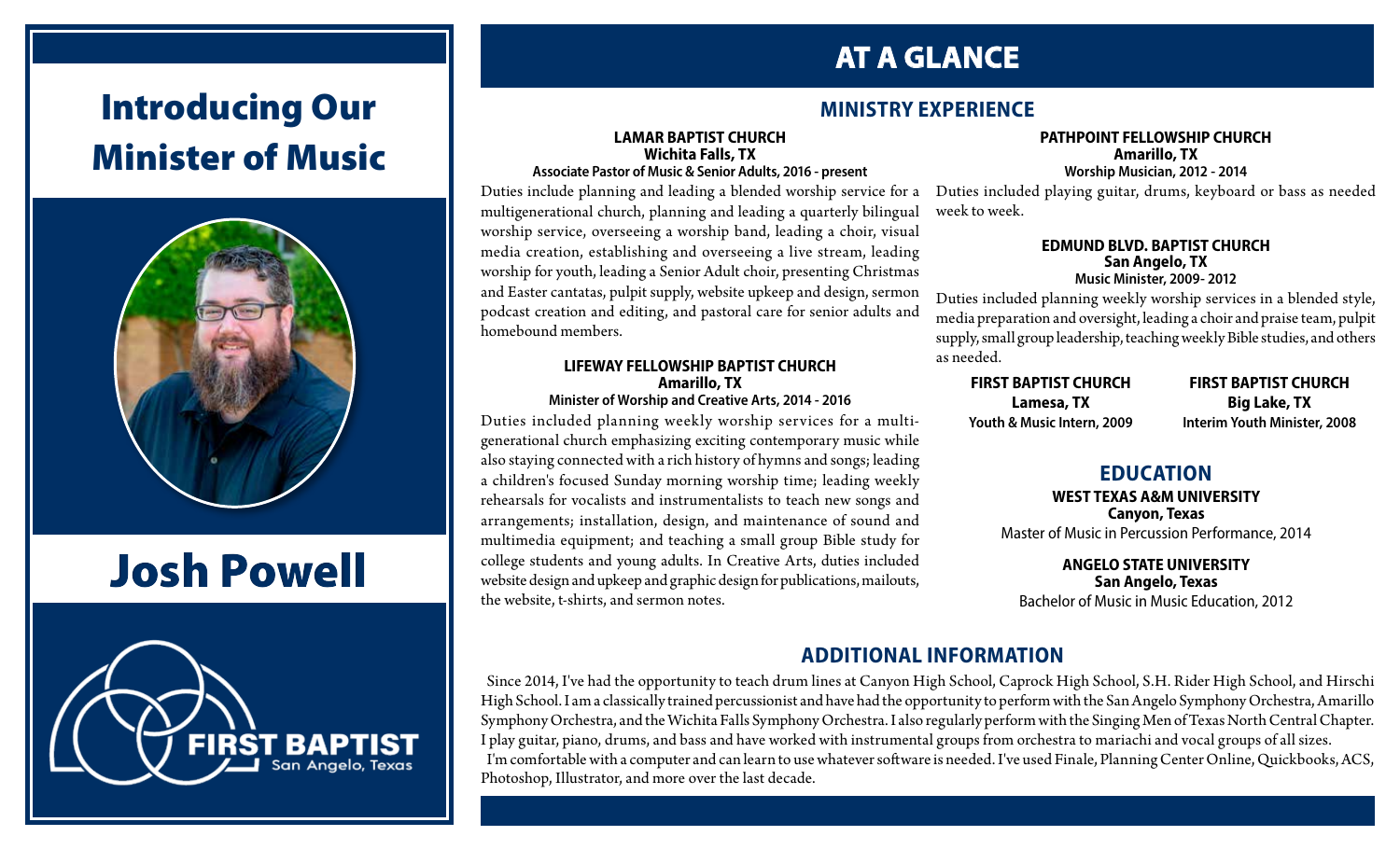# Introducing Our Minister of Music



# Josh Powell



## **AT A GLANCE**

### **MINISTRY EXPERIENCE**

#### **LAMAR BAPTIST CHURCH Wichita Falls, TX Associate Pastor of Music & Senior Adults, 2016 - present**

Duties include planning and leading a blended worship service for a multigenerational church, planning and leading a quarterly bilingual worship service, overseeing a worship band, leading a choir, visual media creation, establishing and overseeing a live stream, leading worship for youth, leading a Senior Adult choir, presenting Christmas and Easter cantatas, pulpit supply, website upkeep and design, sermon podcast creation and editing, and pastoral care for senior adults and homebound members.

#### **LIFEWAY FELLOWSHIP BAPTIST CHURCH Amarillo, TX Minister of Worship and Creative Arts, 2014 - 2016**

Duties included planning weekly worship services for a multigenerational church emphasizing exciting contemporary music while also staying connected with a rich history of hymns and songs; leading a children's focused Sunday morning worship time; leading weekly rehearsals for vocalists and instrumentalists to teach new songs and arrangements; installation, design, and maintenance of sound and multimedia equipment; and teaching a small group Bible study for college students and young adults. In Creative Arts, duties included website design and upkeep and graphic design for publications, mailouts, the website, t-shirts, and sermon notes.

#### **PATHPOINT FELLOWSHIP CHURCH Amarillo, TX Worship Musician, 2012 - 2014**

Duties included playing guitar, drums, keyboard or bass as needed week to week.

#### **EDMUND BLVD. BAPTIST CHURCH San Angelo, TX Music Minister, 2009- 2012**

Duties included planning weekly worship services in a blended style, media preparation and oversight, leading a choir and praise team, pulpit supply, small group leadership, teaching weekly Bible studies, and others as needed.

**FIRST BAPTIST CHURCH Lamesa, TX Youth & Music Intern, 2009**

**FIRST BAPTIST CHURCH Big Lake, TX Interim Youth Minister, 2008**

### **EDUCATION**

**WEST TEXAS A&M UNIVERSITY Canyon, Texas** Master of Music in Percussion Performance, 2014

**ANGELO STATE UNIVERSITY San Angelo, Texas** Bachelor of Music in Music Education, 2012

## **ADDITIONAL INFORMATION**

Since 2014, I've had the opportunity to teach drum lines at Canyon High School, Caprock High School, S.H. Rider High School, and Hirschi High School. I am a classically trained percussionist and have had the opportunity to perform with the San Angelo Symphony Orchestra, Amarillo Symphony Orchestra, and the Wichita Falls Symphony Orchestra. I also regularly perform with the Singing Men of Texas North Central Chapter. I play guitar, piano, drums, and bass and have worked with instrumental groups from orchestra to mariachi and vocal groups of all sizes. I'm comfortable with a computer and can learn to use whatever software is needed. I've used Finale, Planning Center Online, Quickbooks, ACS, Photoshop, Illustrator, and more over the last decade.